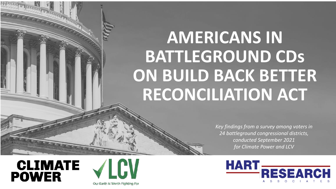# **AMERICANS IN BATTLEGROUND CDs ON BUILD BACK BETTER RECONCILIATION ACT**

*Key findings from a survey among voters in 24 battleground congressional districts, conducted September 2021 for Climate Power and LCV*





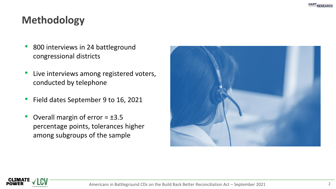# **Methodology**

- 800 interviews in 24 battleground congressional districts
- Live interviews among registered voters, conducted by telephone
- Field dates September 9 to 16, 2021
- Overall margin of error  $= \pm 3.5$ percentage points, tolerances higher among subgroups of the sample



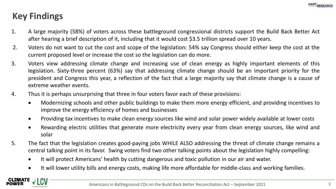# **Key Findings**

- 1. A large majority (58%) of voters across these battleground congressional districts support the Build Back Better Act after hearing a brief description of it, including that it would cost \$3.5 trillion spread over 10 years.
- 2. Voters do not want to cut the cost and scope of the legislation: 54% say Congress should either keep the cost at the current proposed level or increase the cost so the legislation can do more.
- 3. Voters view addressing climate change and increasing use of clean energy as highly important elements of this legislation. Sixty-three percent (63%) say that addressing climate change should be an important priority for the president and Congress this year, a reflection of the fact that a large majority say that climate change is a cause of extreme weather events.
- 4. Thus it is perhaps unsurprising that three in four voters favor each of these provisions:
	- Modernizing schools and other public buildings to make them more energy efficient, and providing incentives to improve the energy efficiency of homes and businesses
	- Providing tax incentives to make clean energy sources like wind and solar power widely available at lower costs
	- Rewarding electric utilities that generate more electricity every year from clean energy sources, like wind and solar
- 5. The fact that the legislation creates good-paying jobs WHILE ALSO addressing the threat of climate change remains a central talking point in its favor. Swing voters find two other talking points about the legislation highly compelling:
	- It will protect Americans' health by cutting dangerous and toxic pollution in our air and water.
	- It will lower utility bills and energy costs, making life more affordable for middle-class and working families.

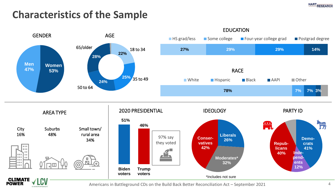

# **Characteristics of the Sample**



Americans in Battleground CDs on the Build Back Better Reconciliation Act – September 2021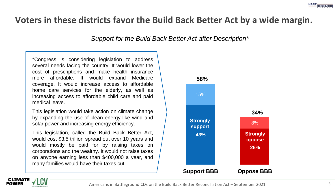## **Voters in these districts favor the Build Back Better Act by a wide margin.**

*Support for the Build Back Better Act after Description\**

\*Congress is considering legislation to address several needs facing the country. It would lower the cost of prescriptions and make health insurance more affordable. It would expand Medicare coverage. It would increase access to affordable home care services for the elderly, as well as increasing access to affordable child care and paid medical leave.

This legislation would take action on climate change by expanding the use of clean energy like wind and solar power and increasing energy efficiency.

This legislation, called the Build Back Better Act, would cost \$3.5 trillion spread out over 10 years and would mostly be paid for by raising taxes on corporations and the wealthy. It would not raise taxes on anyone earning less than \$400,000 a year, and many families would have their taxes cut.



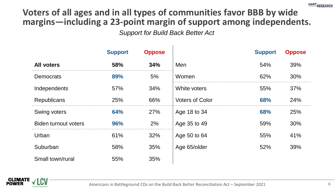# **Voters of all ages and in all types of communities favor BBB by wide margins—including a 23-point margin of support among independents.**

*Support for Build Back Better Act*

|                             | <b>Support</b> | <b>Oppose</b> |                        | <b>Support</b> | <b>Oppose</b> |
|-----------------------------|----------------|---------------|------------------------|----------------|---------------|
| <b>All voters</b>           | 58%            | 34%           | Men                    | 54%            | 39%           |
| <b>Democrats</b>            | 89%            | 5%            | Women                  | 62%            | 30%           |
| Independents                | 57%            | 34%           | White voters           | 55%            | 37%           |
| Republicans                 | 25%            | 66%           | <b>Voters of Color</b> | 68%            | 24%           |
| Swing voters                | 64%            | 27%           | Age 18 to 34           | 68%            | 25%           |
| <b>Biden turnout voters</b> | 96%            | 2%            | Age 35 to 49           | 59%            | 30%           |
| Urban                       | 61%            | 32%           | Age 50 to 64           | 55%            | 41%           |
| Suburban                    | 58%            | 35%           | Age 65/older           | 52%            | 39%           |
| Small town/rural            | 55%            | 35%           |                        |                |               |

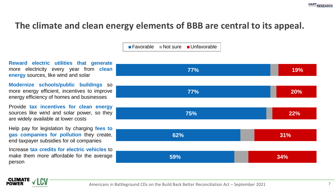# **The climate and clean energy elements of BBB are central to its appeal.**

■ Favorable Not sure Unfavorable

**Reward electric utilities that generate** more electricity every year from **clean energy** sources, like wind and solar

**Modernize schools/public buildings** so more energy efficient, incentives to improve energy efficiency of homes and businesses

Provide **tax incentives for clean energy** sources like wind and solar power, so they are widely available at lower costs

Help pay for legislation by charging **fees to gas companies for pollution** they create, end taxpayer subsidies for oil companies

Increase **tax credits for electric vehicles** to make them more affordable for the average person

CLIMATE **POWER** 



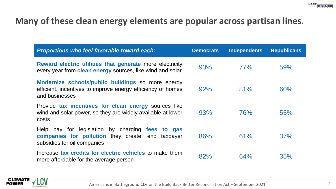#### **Many of these clean energy elements are popular across partisan lines.**

| Proportions who feel favorable toward each:                                                                                          | <b>Democrats</b> | <b>Independents</b> | <b>Republicans</b> |
|--------------------------------------------------------------------------------------------------------------------------------------|------------------|---------------------|--------------------|
| Reward electric utilities that generate more electricity<br>every year from clean energy sources, like wind and solar                | 93%              | 77%                 | 59%                |
| Modernize schools/public buildings so more energy<br>efficient, incentives to improve energy efficiency of homes<br>and businesses   | 92%              | 81%                 | 60%                |
| Provide tax incentives for clean energy sources like<br>wind and solar power, so they are widely available at lower<br>costs         | 93%              | <b>76%</b>          | 55%                |
| Help pay for legislation by charging fees to gas<br>companies for pollution they create, end taxpayer<br>subsidies for oil companies | 86%              | 61%                 | 37%                |
| Increase tax credits for electric vehicles to make them<br>more affordable for the average person                                    | 82%              | 64%                 | 35%                |

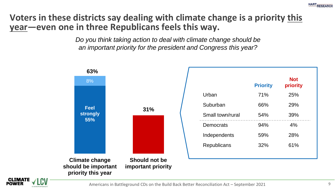# **Voters in these districts say dealing with climate change is a priority this year—even one in three Republicans feels this way.**

*Do you think taking action to deal with climate change should be an important priority for the president and Congress this year?* 



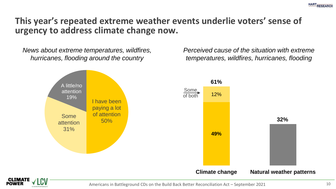

#### **This year's repeated extreme weather events underlie voters' sense of urgency to address climate change now.**

*News about extreme temperatures, wildfires, hurricanes, flooding around the country*

*Perceived cause of the situation with extreme temperatures, wildfires, hurricanes, flooding*

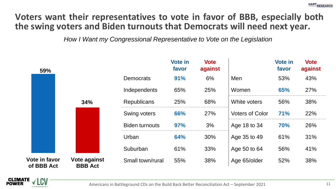# **Voters want their representatives to vote in favor of BBB, especially both the swing voters and Biden turnouts that Democrats will need next year.**

*How I Want my Congressional Representative to Vote on the Legislation*

| 59%                         |                                |                       | <b>Vote in</b><br>favor | <b>Vote</b><br>against |                        | <b>Vote in</b><br>favor | <b>Vote</b><br>against |
|-----------------------------|--------------------------------|-----------------------|-------------------------|------------------------|------------------------|-------------------------|------------------------|
|                             |                                | Democrats             | 91%                     | 6%                     | Men                    | 53%                     | 43%                    |
|                             |                                | Independents          | 65%                     | 25%                    | Women                  | 65%                     | 27%                    |
|                             | 34%                            | <b>Republicans</b>    | 25%                     | 68%                    | White voters           | 56%                     | 38%                    |
|                             |                                | Swing voters          | 66%                     | 27%                    | <b>Voters of Color</b> | <b>71%</b>              | 22%                    |
|                             |                                | <b>Biden turnouts</b> | <b>97%</b>              | 3%                     | Age 18 to 34           | <b>70%</b>              | 26%                    |
|                             |                                | Urban                 | 64%                     | 30%                    | Age 35 to 49           | 61%                     | 31%                    |
|                             |                                | Suburban              | 61%                     | 33%                    | Age 50 to 64           | 56%                     | 41%                    |
| Vote in favor<br>of BBB Act | Vote against<br><b>BBB</b> Act | Small town/rural      | 55%                     | 38%                    | Age 65/older           | 52%                     | 38%                    |

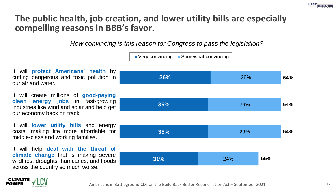# **The public health, job creation, and lower utility bills are especially compelling reasons in BBB's favor.**

*How convincing is this reason for Congress to pass the legislation?*



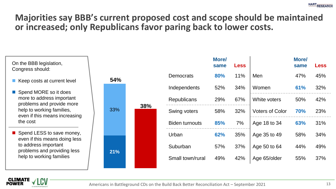**More/**

# **Majorities say BBB's current proposed cost and scope should be maintained or increased; only Republicans favor paring back to lower costs.**

On the BBB legislation, Congress should:

- Keep costs at current level
- Spend MORE so it does more to address important problems and provide more help to working families, even if this means increasing the cost
- Spend LESS to save money, even if this means doing less to address important problems and providing less help to working families

|            |              |                       | same | <b>Less</b>  |                        | same       | <b>Less</b> |
|------------|--------------|-----------------------|------|--------------|------------------------|------------|-------------|
| 54%        |              | Democrats             | 80%  | 11%          | Men                    | 47%        | 45%         |
| 38%<br>33% | Independents | 52%                   | 34%  | Women        | 61%                    | 32%        |             |
|            |              | Republicans           | 29%  | 67%          | White voters           | 50%        | 42%         |
|            |              | Swing voters          | 58%  | 32%          | <b>Voters of Color</b> | <b>70%</b> | 23%         |
|            |              | <b>Biden turnouts</b> | 85%  | 7%           | Age 18 to 34           | 63%        | 31%         |
|            | Urban        | 62%                   | 35%  | Age 35 to 49 | 58%                    | 34%        |             |
| 21%        |              | Suburban              | 57%  | 37%          | Age 50 to 64           | 44%        | 49%         |
|            |              | Small town/rural      | 49%  | 42%          | Age 65/older           | 55%        | 37%         |
|            |              |                       |      |              |                        |            |             |

**More/**